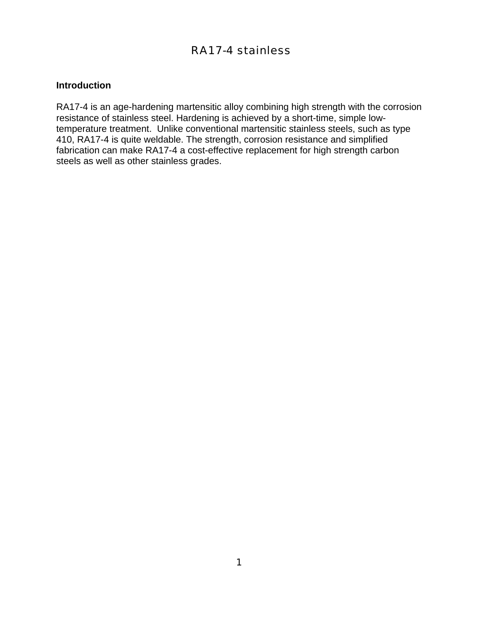# RA17-4 stainless

## **Introduction**

RA17-4 is an age-hardening martensitic alloy combining high strength with the corrosion resistance of stainless steel. Hardening is achieved by a short-time, simple lowtemperature treatment. Unlike conventional martensitic stainless steels, such as type 410, RA17-4 is quite weldable. The strength, corrosion resistance and simplified fabrication can make RA17-4 a cost-effective replacement for high strength carbon steels as well as other stainless grades.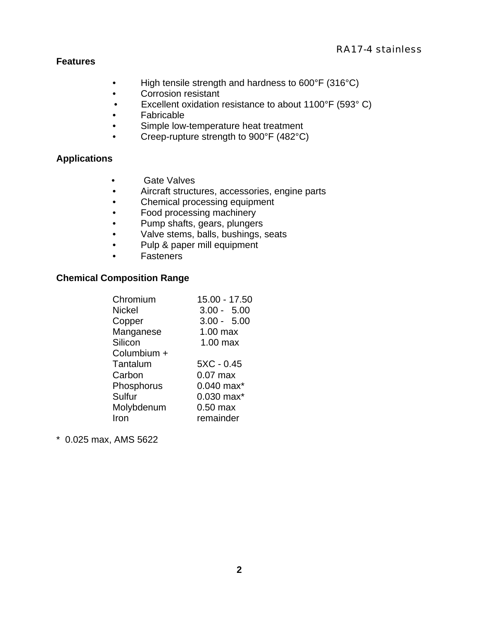## RA17-4 stainless

## **Features**

- High tensile strength and hardness to 600°F (316°C)
- Corrosion resistant
- Excellent oxidation resistance to about 1100°F (593° C)
- Fabricable
- Simple low-temperature heat treatment
- Creep-rupture strength to 900°F (482°C)

# **Applications**

- Gate Valves
- Aircraft structures, accessories, engine parts
- Chemical processing equipment
- Food processing machinery
- Pump shafts, gears, plungers
- Valve stems, balls, bushings, seats
- Pulp & paper mill equipment
- Fasteners

#### **Chemical Composition Range**

| Chromium      | 15.00 - 17.50   |
|---------------|-----------------|
| <b>Nickel</b> | $3.00 - 5.00$   |
| Copper        | $3.00 - 5.00$   |
| Manganese     | $1.00$ max      |
| Silicon       | $1.00$ max      |
| Columbium +   |                 |
| Tantalum      | $5XC - 0.45$    |
| Carbon        | $0.07$ max      |
| Phosphorus    | $0.040$ max $*$ |
| Sulfur        | $0.030$ max $*$ |
| Molybdenum    | $0.50$ max      |
| Iron          | remainder       |
|               |                 |

\* 0.025 max, AMS 5622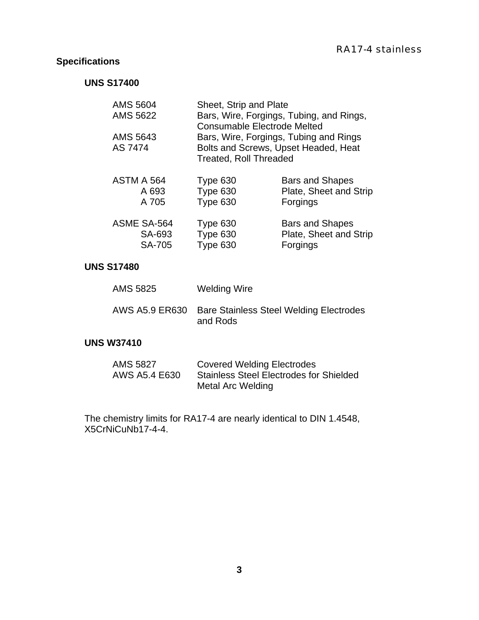# **Specifications**

# **UNS S17400**

| <b>AMS 5604</b><br>AMS 5622<br>AMS 5643<br>AS 7474 | Sheet, Strip and Plate<br>Bars, Wire, Forgings, Tubing, and Rings,<br><b>Consumable Electrode Melted</b><br>Bars, Wire, Forgings, Tubing and Rings<br>Bolts and Screws, Upset Headed, Heat<br><b>Treated, Roll Threaded</b> |                        |  |
|----------------------------------------------------|-----------------------------------------------------------------------------------------------------------------------------------------------------------------------------------------------------------------------------|------------------------|--|
| ASTM A 564                                         | Type 630                                                                                                                                                                                                                    | <b>Bars and Shapes</b> |  |
| A 693                                              | Type 630                                                                                                                                                                                                                    | Plate, Sheet and Strip |  |
| A 705                                              | Type 630                                                                                                                                                                                                                    | Forgings               |  |
| <b>ASME SA-564</b>                                 | Type 630                                                                                                                                                                                                                    | <b>Bars and Shapes</b> |  |
| SA-693                                             | Type 630                                                                                                                                                                                                                    | Plate, Sheet and Strip |  |
| <b>SA-705</b>                                      | Type 630                                                                                                                                                                                                                    | Forgings               |  |

# **UNS S17480**

| <b>AMS 5825</b> | Welding Wire                                               |
|-----------------|------------------------------------------------------------|
| AWS A5.9 ER630  | <b>Bare Stainless Steel Welding Electrodes</b><br>and Rods |

# **UNS W37410**

| AMS 5827      | <b>Covered Welding Electrodes</b>              |
|---------------|------------------------------------------------|
| AWS A5.4 E630 | <b>Stainless Steel Electrodes for Shielded</b> |
|               | Metal Arc Welding                              |

The chemistry limits for RA17-4 are nearly identical to DIN 1.4548, X5CrNiCuNb17-4-4.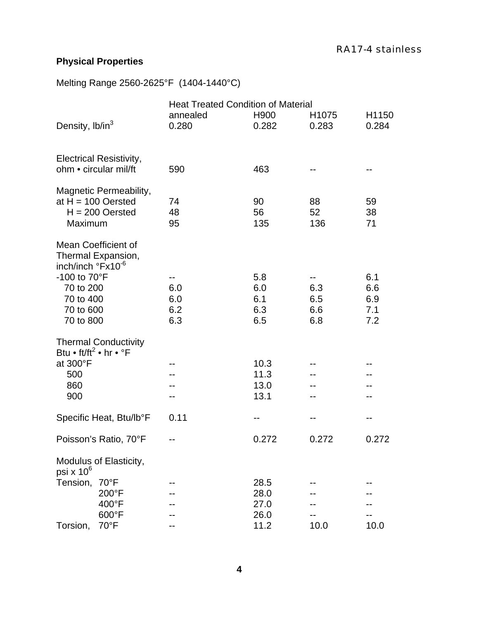# **Physical Properties**

Melting Range 2560-2625°F (1404-1440°C)

|                                                                  |                                                         | <b>Heat Treated Condition of Material</b> |                                 |                                                      |                                 |
|------------------------------------------------------------------|---------------------------------------------------------|-------------------------------------------|---------------------------------|------------------------------------------------------|---------------------------------|
| Density, lb/in <sup>3</sup>                                      |                                                         | annealed<br>0.280                         | H <sub>900</sub><br>0.282       | H <sub>1075</sub><br>0.283                           | H1150<br>0.284                  |
|                                                                  | <b>Electrical Resistivity,</b><br>ohm • circular mil/ft | 590                                       | 463                             |                                                      | --                              |
|                                                                  | Magnetic Permeability,                                  |                                           |                                 |                                                      |                                 |
| Maximum                                                          | at $H = 100$ Oersted<br>$H = 200$ Oersted               | 74<br>48<br>95                            | 90<br>56<br>135                 | 88<br>52<br>136                                      | 59<br>38<br>71                  |
| inch/inch °Fx10 <sup>-6</sup>                                    | Mean Coefficient of<br>Thermal Expansion,               |                                           |                                 |                                                      |                                 |
| -100 to 70°F<br>70 to 200<br>70 to 400<br>70 to 600<br>70 to 800 |                                                         | --<br>6.0<br>6.0<br>6.2<br>6.3            | 5.8<br>6.0<br>6.1<br>6.3<br>6.5 | $\overline{\phantom{m}}$<br>6.3<br>6.5<br>6.6<br>6.8 | 6.1<br>6.6<br>6.9<br>7.1<br>7.2 |
| Btu • ft/ft <sup>2</sup> • hr • $\degree$ F                      | <b>Thermal Conductivity</b>                             |                                           |                                 |                                                      |                                 |
| at 300°F                                                         |                                                         |                                           | 10.3                            |                                                      |                                 |
| 500<br>860                                                       |                                                         |                                           | 11.3<br>13.0                    |                                                      |                                 |
| 900                                                              |                                                         |                                           | 13.1                            |                                                      |                                 |
|                                                                  | Specific Heat, Btu/lb°F                                 | 0.11                                      |                                 | --                                                   |                                 |
|                                                                  | Poisson's Ratio, 70°F                                   |                                           | 0.272                           | 0.272                                                | 0.272                           |
| psi x $10^6$                                                     | Modulus of Elasticity,                                  |                                           |                                 |                                                      |                                 |
| Tension,                                                         | $70^{\circ}$ F                                          |                                           | 28.5                            |                                                      |                                 |
|                                                                  | 200°F                                                   |                                           | 28.0                            |                                                      |                                 |
|                                                                  | 400°F<br>600°F                                          |                                           | 27.0<br>26.0                    |                                                      |                                 |
| Torsion,                                                         | $70^{\circ}$ F                                          |                                           | 11.2                            | 10.0                                                 | 10.0                            |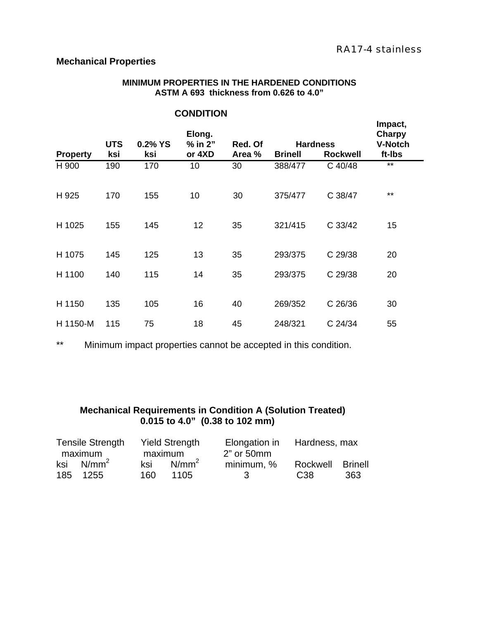## **Mechanical Properties**

#### **MINIMUM PROPERTIES IN THE HARDENED CONDITIONS ASTM A 693 thickness from 0.626 to 4.0"**

|                 | <b>UTS</b> | 0.2% YS | Elong.<br>$%$ in $2"$ | Red. Of |                | <b>Hardness</b> | Impact,<br><b>Charpy</b><br><b>V-Notch</b> |
|-----------------|------------|---------|-----------------------|---------|----------------|-----------------|--------------------------------------------|
| <b>Property</b> | ksi        | ksi     | or 4XD                | Area %  | <b>Brinell</b> | <b>Rockwell</b> | ft-Ibs                                     |
| H 900           | 190        | 170     | 10                    | 30      | 388/477        | C 40/48         | $**$                                       |
| H 925           | 170        | 155     | 10                    | 30      | 375/477        | C 38/47         | $***$                                      |
| H 1025          | 155        | 145     | 12                    | 35      | 321/415        | C 33/42         | 15                                         |
| H 1075          | 145        | 125     | 13                    | 35      | 293/375        | C 29/38         | 20                                         |
| H 1100          | 140        | 115     | 14                    | 35      | 293/375        | C 29/38         | 20                                         |
| H 1150          | 135        | 105     | 16                    | 40      | 269/352        | C 26/36         | 30                                         |
| H 1150-M        | 115        | 75      | 18                    | 45      | 248/321        | C 24/34         | 55                                         |

# **CONDITION**

\*\* Minimum impact properties cannot be accepted in this condition.

# **Mechanical Requirements in Condition A (Solution Treated) 0.015 to 4.0" (0.38 to 102 mm)**

| <b>Tensile Strength</b> |     | <b>Yield Strength</b> | Elongation in Hardness, max |                  |     |
|-------------------------|-----|-----------------------|-----------------------------|------------------|-----|
| maximum                 |     | maximum               | 2" or 50mm                  |                  |     |
| ksi $N/mm^2$            | ksi | $N/mm^2$              | minimum, %                  | Rockwell Brinell |     |
| 185 1255                | 160 | 1105                  | $\sim$ 3                    | C38              | 363 |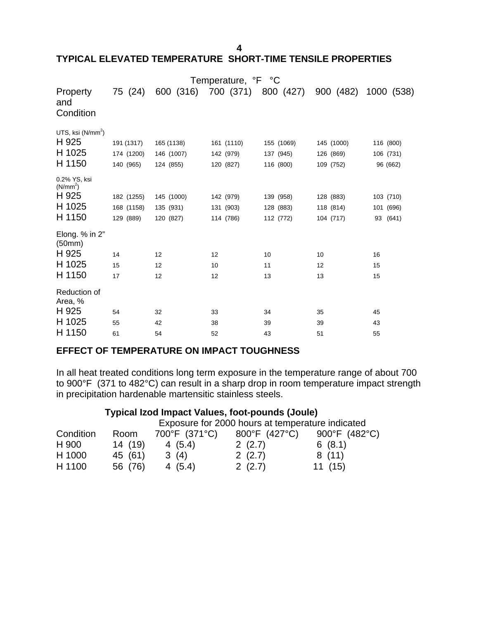**4** 

#### **TYPICAL ELEVATED TEMPERATURE SHORT-TIME TENSILE PROPERTIES**

|                                                                   |                                       |                                       | Temperature, °F °C                   |                                      |                                      |                                    |
|-------------------------------------------------------------------|---------------------------------------|---------------------------------------|--------------------------------------|--------------------------------------|--------------------------------------|------------------------------------|
| Property<br>and<br>Condition                                      | 75 (24)                               | 600 (316)                             | 700 (371)                            | 800 (427)                            | 900 (482)                            | 1000 (538)                         |
| UTS, ksi $(N/mm2)$<br>H 925<br>H 1025<br>H 1150                   | 191 (1317)<br>174 (1200)<br>140 (965) | 165 (1138)<br>146 (1007)<br>124 (855) | 161 (1110)<br>142 (979)<br>120 (827) | 155 (1069)<br>137 (945)<br>116 (800) | 145 (1000)<br>126 (869)<br>109 (752) | 116 (800)<br>106 (731)<br>96 (662) |
| 0.2% YS, ksi<br>(N/mm <sup>2</sup> )<br>H 925<br>H 1025<br>H 1150 | 182 (1255)<br>168 (1158)<br>129 (889) | 145 (1000)<br>135 (931)<br>120 (827)  | 142 (979)<br>131 (903)<br>114 (786)  | 139 (958)<br>128 (883)<br>112 (772)  | 128 (883)<br>118 (814)<br>104 (717)  | 103 (710)<br>101 (696)<br>93 (641) |
| Elong. % in 2"<br>(50mm)<br>H 925<br>H 1025<br>H 1150             | 14<br>15<br>17                        | 12<br>12<br>12                        | 12<br>10<br>12                       | 10<br>11<br>13                       | 10<br>12<br>13                       | 16<br>15<br>15                     |
| Reduction of<br>Area, %<br>H 925<br>H 1025<br>H 1150              | 54<br>55<br>61                        | 32<br>42<br>54                        | 33<br>38<br>52                       | 34<br>39<br>43                       | 35<br>39<br>51                       | 45<br>43<br>55                     |

## **EFFECT OF TEMPERATURE ON IMPACT TOUGHNESS**

In all heat treated conditions long term exposure in the temperature range of about 700 to 900°F (371 to 482°C) can result in a sharp drop in room temperature impact strength in precipitation hardenable martensitic stainless steels.

## **Typical Izod Impact Values, foot-pounds (Joule)**

|           |         |               | Exposure for 2000 hours at temperature indicated |               |
|-----------|---------|---------------|--------------------------------------------------|---------------|
| Condition | Room    | 700°F (371°C) | 800°F (427°C)                                    | 900°F (482°C) |
| H 900     | 14 (19) | 4(5.4)        | 2(2.7)                                           | 6(8.1)        |
| H 1000    | 45 (61) | 3(4)          | 2(2.7)                                           | 8(11)         |
| H 1100    | 56 (76) | 4(5.4)        | 2(2.7)                                           | 11(15)        |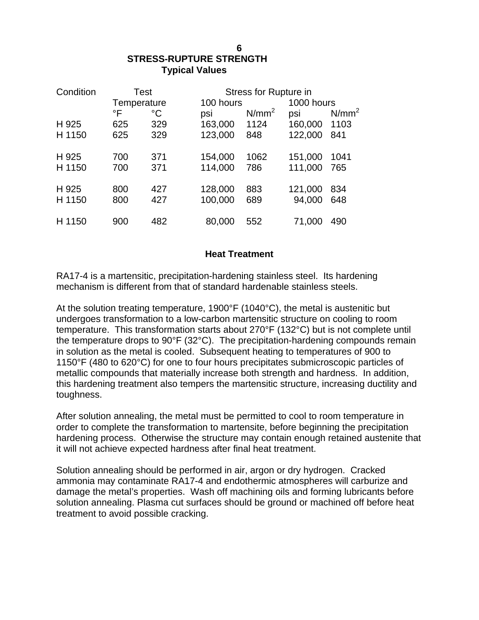# **STRESS-RUPTURE STRENGTH Typical Values**

| Condition | Test        |             | Stress for Rupture in |                   |            |          |
|-----------|-------------|-------------|-----------------------|-------------------|------------|----------|
|           | Temperature |             | 100 hours             |                   | 1000 hours |          |
|           | °F          | $^{\circ}C$ | psi                   | N/mm <sup>2</sup> | psi        | $N/mm^2$ |
| H 925     | 625         | 329         | 163,000               | 1124              | 160,000    | 1103     |
| H 1150    | 625         | 329         | 123,000               | 848               | 122,000    | 841      |
| H 925     | 700         | 371         | 154,000               | 1062              | 151,000    | 1041     |
| H 1150    | 700         | 371         | 114,000               | 786               | 111,000    | 765      |
| H 925     | 800         | 427         | 128,000               | 883               | 121,000    | 834      |
| H 1150    | 800         | 427         | 100,000               | 689               | 94,000     | 648      |
| H 1150    | 900         | 482         | 80,000                | 552               | 71,000     | 490      |

## **Heat Treatment**

RA17-4 is a martensitic, precipitation-hardening stainless steel. Its hardening mechanism is different from that of standard hardenable stainless steels.

At the solution treating temperature, 1900°F (1040°C), the metal is austenitic but undergoes transformation to a low-carbon martensitic structure on cooling to room temperature. This transformation starts about 270°F (132°C) but is not complete until the temperature drops to 90°F (32°C). The precipitation-hardening compounds remain in solution as the metal is cooled. Subsequent heating to temperatures of 900 to 1150°F (480 to 620°C) for one to four hours precipitates submicroscopic particles of metallic compounds that materially increase both strength and hardness. In addition, this hardening treatment also tempers the martensitic structure, increasing ductility and toughness.

After solution annealing, the metal must be permitted to cool to room temperature in order to complete the transformation to martensite, before beginning the precipitation hardening process. Otherwise the structure may contain enough retained austenite that it will not achieve expected hardness after final heat treatment.

Solution annealing should be performed in air, argon or dry hydrogen. Cracked ammonia may contaminate RA17-4 and endothermic atmospheres will carburize and damage the metal's properties. Wash off machining oils and forming lubricants before solution annealing. Plasma cut surfaces should be ground or machined off before heat treatment to avoid possible cracking.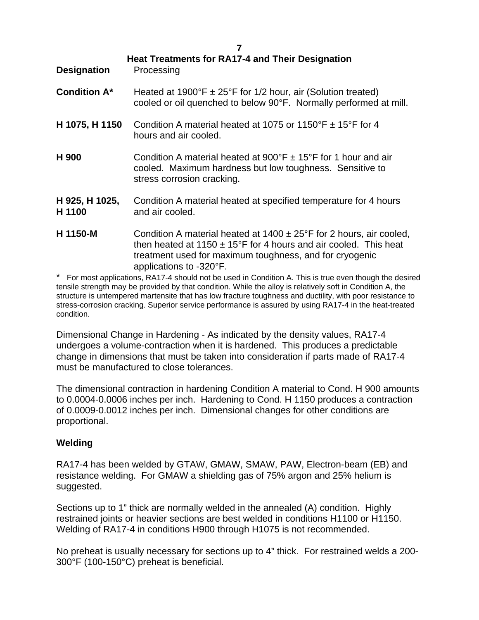| <b>Designation</b>       | <b>Heat Treatments for RA17-4 and Their Designation</b><br>Processing                                                                                                                                                                  |
|--------------------------|----------------------------------------------------------------------------------------------------------------------------------------------------------------------------------------------------------------------------------------|
| <b>Condition A*</b>      | Heated at 1900°F $\pm$ 25°F for 1/2 hour, air (Solution treated)<br>cooled or oil quenched to below 90°F. Normally performed at mill.                                                                                                  |
| H 1075, H 1150           | Condition A material heated at 1075 or 1150°F $\pm$ 15°F for 4<br>hours and air cooled.                                                                                                                                                |
| H 900                    | Condition A material heated at $900^{\circ}$ F $\pm$ 15°F for 1 hour and air<br>cooled. Maximum hardness but low toughness. Sensitive to<br>stress corrosion cracking.                                                                 |
| H 925, H 1025,<br>H 1100 | Condition A material heated at specified temperature for 4 hours<br>and air cooled.                                                                                                                                                    |
| H 1150-M                 | Condition A material heated at $1400 \pm 25$ °F for 2 hours, air cooled,<br>then heated at 1150 $\pm$ 15°F for 4 hours and air cooled. This heat<br>treatment used for maximum toughness, and for cryogenic<br>applications to -320°F. |

\* For most applications, RA17-4 should not be used in Condition A. This is true even though the desired tensile strength may be provided by that condition. While the alloy is relatively soft in Condition A, the structure is untempered martensite that has low fracture toughness and ductility, with poor resistance to stress-corrosion cracking. Superior service performance is assured by using RA17-4 in the heat-treated condition.

Dimensional Change in Hardening - As indicated by the density values, RA17-4 undergoes a volume-contraction when it is hardened. This produces a predictable change in dimensions that must be taken into consideration if parts made of RA17-4 must be manufactured to close tolerances.

The dimensional contraction in hardening Condition A material to Cond. H 900 amounts to 0.0004-0.0006 inches per inch. Hardening to Cond. H 1150 produces a contraction of 0.0009-0.0012 inches per inch. Dimensional changes for other conditions are proportional.

## **Welding**

RA17-4 has been welded by GTAW, GMAW, SMAW, PAW, Electron-beam (EB) and resistance welding. For GMAW a shielding gas of 75% argon and 25% helium is suggested.

Sections up to 1" thick are normally welded in the annealed (A) condition. Highly restrained joints or heavier sections are best welded in conditions H1100 or H1150. Welding of RA17-4 in conditions H900 through H1075 is not recommended.

No preheat is usually necessary for sections up to 4" thick. For restrained welds a 200- 300°F (100-150°C) preheat is beneficial.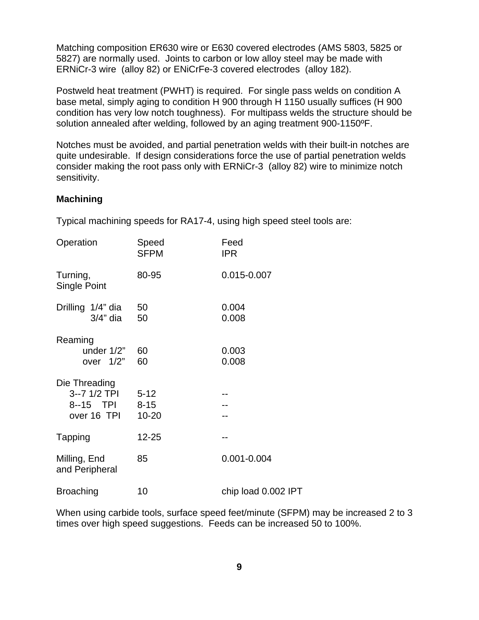Matching composition ER630 wire or E630 covered electrodes (AMS 5803, 5825 or 5827) are normally used. Joints to carbon or low alloy steel may be made with ERNiCr-3 wire (alloy 82) or ENiCrFe-3 covered electrodes (alloy 182).

Postweld heat treatment (PWHT) is required. For single pass welds on condition A base metal, simply aging to condition H 900 through H 1150 usually suffices (H 900 condition has very low notch toughness). For multipass welds the structure should be solution annealed after welding, followed by an aging treatment 900-1150ºF.

Notches must be avoided, and partial penetration welds with their built-in notches are quite undesirable. If design considerations force the use of partial penetration welds consider making the root pass only with ERNiCr-3 (alloy 82) wire to minimize notch sensitivity.

#### **Machining**

Typical machining speeds for RA17-4, using high speed steel tools are:

| Operation                                                           | Speed<br><b>SFPM</b> | Feed<br><b>IPR</b>  |
|---------------------------------------------------------------------|----------------------|---------------------|
| Turning,<br><b>Single Point</b>                                     | 80-95                | 0.015-0.007         |
| Drilling 1/4" dia<br>$3/4"$ dia                                     | 50<br>50             | 0.004<br>0.008      |
| Reaming<br>under $1/2$ "<br>over $1/2$ "                            | 60<br>60             | 0.003<br>0.008      |
| Die Threading<br>3--7 1/2 TPI 5-12<br>8--15 TPI 8-15<br>over 16 TPI | $10 - 20$            |                     |
| Tapping                                                             | 12-25                |                     |
| Milling, End<br>and Peripheral                                      | 85                   | $0.001 - 0.004$     |
| <b>Broaching</b>                                                    | 10                   | chip load 0.002 IPT |

When using carbide tools, surface speed feet/minute (SFPM) may be increased 2 to 3 times over high speed suggestions. Feeds can be increased 50 to 100%.